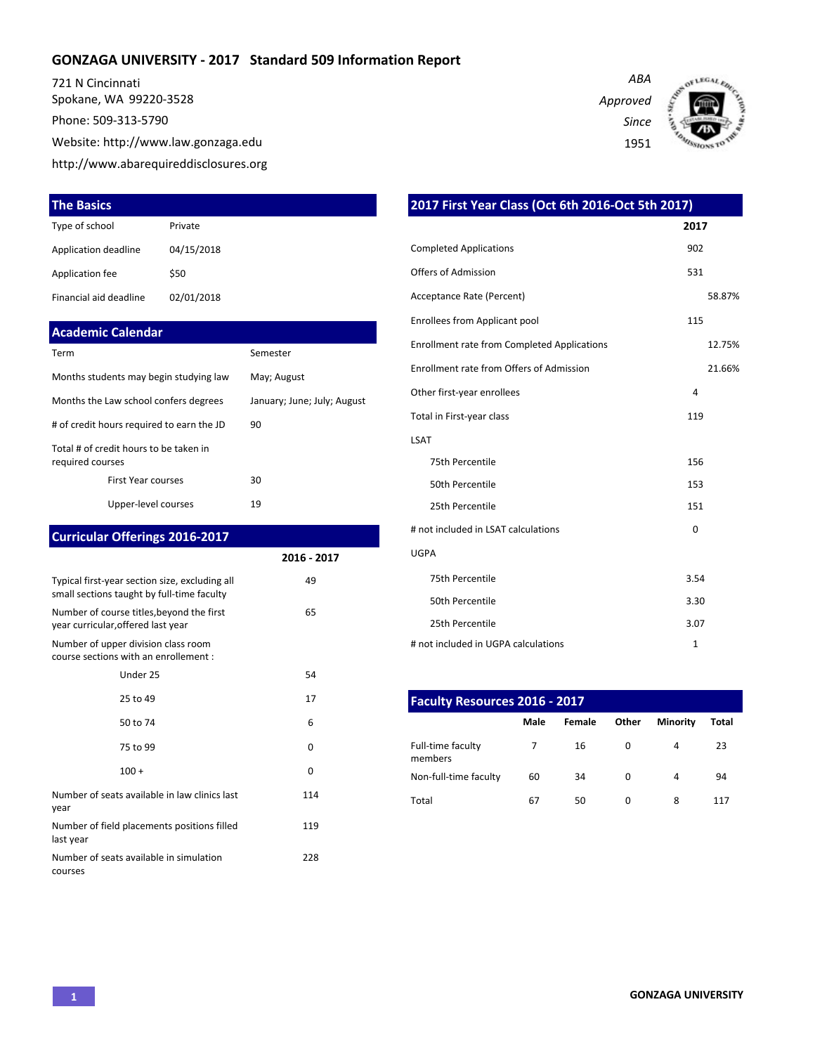### **GONZAGA UNIVERSITY - 2017 Standard 509 Information Report**

721 N Cincinnati Spokane, WA 99220-3528 Phone: 509-313-5790 Website: http://www.law.gonzaga.edu http://www.abarequireddisclosures.org

#### **The Basics**

| Type of school         | Private    |
|------------------------|------------|
| Application deadline   | 04/15/2018 |
| Application fee        | \$50       |
| Financial aid deadline | 02/01/2018 |

#### **Academic Calendar**

| Term                                                       | Semester                    |  |  |  |  |
|------------------------------------------------------------|-----------------------------|--|--|--|--|
| Months students may begin studying law                     | May; August                 |  |  |  |  |
| Months the Law school confers degrees                      | January; June; July; August |  |  |  |  |
| # of credit hours required to earn the JD                  | 90                          |  |  |  |  |
| Total # of credit hours to be taken in<br>required courses |                             |  |  |  |  |
| <b>First Year courses</b>                                  | 30                          |  |  |  |  |
| Upper-level courses                                        | 19                          |  |  |  |  |

## **Curricular Offerings 2016-2017**

|                                                                                              | 2016 - 2017 |
|----------------------------------------------------------------------------------------------|-------------|
| Typical first-year section size, excluding all<br>small sections taught by full-time faculty | 49          |
| Number of course titles, beyond the first<br>year curricular, offered last year              | 65          |
| Number of upper division class room<br>course sections with an enrollement :                 |             |
| Under 25                                                                                     | 54          |
| 25 to 49                                                                                     | 17          |
| 50 to 74                                                                                     | 6           |
| 75 to 99                                                                                     | 0           |
| $100 +$                                                                                      | 0           |
| Number of seats available in law clinics last<br>year                                        | 114         |
| Number of field placements positions filled<br>last year                                     | 119         |
| Number of seats available in simulation<br>courses                                           | 228         |

*ABA Approved Since* 1951



| 2017 First Year Class (Oct 6th 2016-Oct 5th 2017)  |              |  |  |  |  |  |  |  |
|----------------------------------------------------|--------------|--|--|--|--|--|--|--|
|                                                    | 2017         |  |  |  |  |  |  |  |
| <b>Completed Applications</b>                      | 902          |  |  |  |  |  |  |  |
| <b>Offers of Admission</b>                         | 531          |  |  |  |  |  |  |  |
| Acceptance Rate (Percent)                          | 58.87%       |  |  |  |  |  |  |  |
| Enrollees from Applicant pool                      | 115          |  |  |  |  |  |  |  |
| <b>Enrollment rate from Completed Applications</b> | 12.75%       |  |  |  |  |  |  |  |
| Enrollment rate from Offers of Admission           | 21.66%       |  |  |  |  |  |  |  |
| Other first-year enrollees                         | 4            |  |  |  |  |  |  |  |
| Total in First-year class                          | 119          |  |  |  |  |  |  |  |
| <b>LSAT</b>                                        |              |  |  |  |  |  |  |  |
| 75th Percentile                                    | 156          |  |  |  |  |  |  |  |
| 50th Percentile                                    | 153          |  |  |  |  |  |  |  |
| 25th Percentile                                    | 151          |  |  |  |  |  |  |  |
| # not included in LSAT calculations                | 0            |  |  |  |  |  |  |  |
| <b>UGPA</b>                                        |              |  |  |  |  |  |  |  |
| 75th Percentile                                    | 3.54         |  |  |  |  |  |  |  |
| 50th Percentile                                    | 3.30         |  |  |  |  |  |  |  |
| 25th Percentile                                    | 3.07         |  |  |  |  |  |  |  |
| # not included in UGPA calculations                | $\mathbf{1}$ |  |  |  |  |  |  |  |

| <b>Faculty Resources 2016 - 2017</b> |      |        |       |                 |       |  |  |  |  |  |  |
|--------------------------------------|------|--------|-------|-----------------|-------|--|--|--|--|--|--|
|                                      | Male | Female | Other | <b>Minority</b> | Total |  |  |  |  |  |  |
| Full-time faculty<br>members         |      | 16     | 0     | 4               | 23    |  |  |  |  |  |  |
| Non-full-time faculty                | 60   | 34     | 0     | 4               | 94    |  |  |  |  |  |  |
| Total                                | 67   | 50     | 0     | 8               | 117   |  |  |  |  |  |  |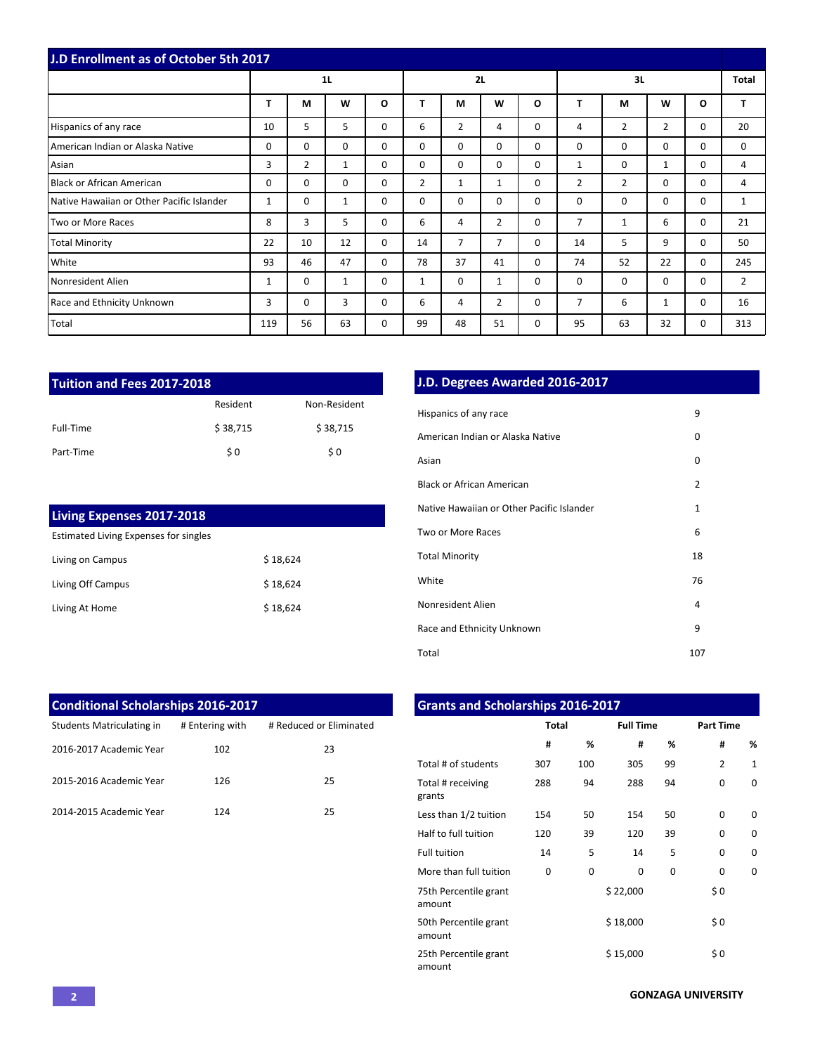| J.D Enrollment as of October 5th 2017     |                |          |              |          |                |                |                |          |                |                |                |             |                |
|-------------------------------------------|----------------|----------|--------------|----------|----------------|----------------|----------------|----------|----------------|----------------|----------------|-------------|----------------|
|                                           | 1 <sub>L</sub> |          |              |          | 2L             |                |                |          | 3L             |                |                |             | <b>Total</b>   |
|                                           | т              | М        | W            | O        | т              | M              | W              | O        | т              | М              | W              | $\Omega$    | т              |
| Hispanics of any race                     | 10             | 5        | 5            | $\Omega$ | 6              | $\overline{2}$ | 4              | $\Omega$ | 4              | $\overline{2}$ | $\overline{2}$ | $\Omega$    | 20             |
| American Indian or Alaska Native          | 0              | $\Omega$ | $\Omega$     | 0        | $\Omega$       | $\Omega$       | $\Omega$       | $\Omega$ | $\mathbf 0$    | 0              | 0              | 0           | 0              |
| Asian                                     | 3              | 2        | 1            | $\Omega$ | $\Omega$       | $\Omega$       | $\Omega$       | $\Omega$ | 1              | 0              | $\mathbf{1}$   | $\Omega$    | 4              |
| <b>Black or African American</b>          | $\Omega$       | $\Omega$ | $\Omega$     | $\Omega$ | $\overline{2}$ | $\mathbf{1}$   | $\mathbf{1}$   | $\Omega$ | $\overline{2}$ | $\overline{2}$ | $\Omega$       | $\Omega$    | 4              |
| Native Hawaiian or Other Pacific Islander | 1              | 0        | $\mathbf{1}$ | 0        | 0              | 0              | 0              | 0        | $\mathbf 0$    | 0              | $\mathbf 0$    | 0           | 1              |
| Two or More Races                         | 8              | 3        | 5            | $\Omega$ | 6              | 4              | 2              | $\Omega$ | 7              | 1              | 6              | 0           | 21             |
| <b>Total Minority</b>                     | 22             | 10       | 12           | $\Omega$ | 14             | $\overline{7}$ | $\overline{7}$ | $\Omega$ | 14             | 5              | 9              | $\mathbf 0$ | 50             |
| White                                     | 93             | 46       | 47           | $\Omega$ | 78             | 37             | 41             | $\Omega$ | 74             | 52             | 22             | $\mathbf 0$ | 245            |
| Nonresident Alien                         | 1              | 0        | $\mathbf{1}$ | $\Omega$ | $\mathbf{1}$   | $\Omega$       | 1              | $\Omega$ | $\Omega$       | $\mathbf 0$    | $\Omega$       | $\Omega$    | $\overline{2}$ |
| Race and Ethnicity Unknown                | 3              | 0        | 3            | 0        | 6              | 4              | $\overline{2}$ | 0        | $\overline{7}$ | 6              | 1              | 0           | 16             |
| Total                                     | 119            | 56       | 63           | $\Omega$ | 99             | 48             | 51             | $\Omega$ | 95             | 63             | 32             | $\Omega$    | 313            |

| Tuition and Fees 2017-2018 |          |              |  |  |  |  |  |  |  |  |
|----------------------------|----------|--------------|--|--|--|--|--|--|--|--|
|                            | Resident | Non-Resident |  |  |  |  |  |  |  |  |
| Full-Time                  | \$38,715 | \$38,715     |  |  |  |  |  |  |  |  |
| Part-Time                  | \$0      | \$0          |  |  |  |  |  |  |  |  |

| <b>Living Expenses 2017-2018</b>      |          |
|---------------------------------------|----------|
| Estimated Living Expenses for singles |          |
| Living on Campus                      | \$18.624 |
| Living Off Campus                     | \$18.624 |
| Living At Home                        | \$18,624 |

# **J.D. Degrees Awarded 2016-2017**

| Hispanics of any race                     | 9              |
|-------------------------------------------|----------------|
| American Indian or Alaska Native          | 0              |
| Asian                                     | 0              |
| <b>Black or African American</b>          | $\overline{2}$ |
| Native Hawaiian or Other Pacific Islander | $\mathbf{1}$   |
| Two or More Races                         | 6              |
| <b>Total Minority</b>                     | 18             |
| White                                     | 76             |
| Nonresident Alien                         | 4              |
| Race and Ethnicity Unknown                | 9              |
| Total                                     | 107            |

| <b>Conditional Scholarships 2016-2017</b> |                 |                         |
|-------------------------------------------|-----------------|-------------------------|
| Students Matriculating in                 | # Entering with | # Reduced or Eliminated |
| 2016-2017 Academic Year                   | 102             | 23                      |
| 2015-2016 Academic Year                   | 126             | 25                      |
| 2014-2015 Academic Year                   | 124             | 25                      |

| <b>Grants and Scholarships 2016-2017</b> |              |     |                  |    |                  |              |  |  |  |  |  |  |
|------------------------------------------|--------------|-----|------------------|----|------------------|--------------|--|--|--|--|--|--|
|                                          | <b>Total</b> |     | <b>Full Time</b> |    | <b>Part Time</b> |              |  |  |  |  |  |  |
|                                          | #            | %   | #                | %  | #                | %            |  |  |  |  |  |  |
| Total # of students                      | 307          | 100 | 305              | 99 | $\overline{2}$   | $\mathbf{1}$ |  |  |  |  |  |  |
| Total # receiving<br>grants              | 288          | 94  | 288              | 94 | $\Omega$         | $\Omega$     |  |  |  |  |  |  |
| Less than 1/2 tuition                    | 154          | 50  | 154              | 50 | $\Omega$         | $\Omega$     |  |  |  |  |  |  |
| Half to full tuition                     | 120          | 39  | 120              | 39 | $\Omega$         | $\Omega$     |  |  |  |  |  |  |
| <b>Full tuition</b>                      | 14           | 5   | 14               | 5  | $\Omega$         | $\Omega$     |  |  |  |  |  |  |
| More than full tuition                   | $\Omega$     | 0   | $\Omega$         | 0  | $\Omega$         | $\Omega$     |  |  |  |  |  |  |
| 75th Percentile grant<br>amount          |              |     | \$22,000         |    | \$0              |              |  |  |  |  |  |  |
| 50th Percentile grant<br>amount          |              |     | \$18,000         |    | \$0              |              |  |  |  |  |  |  |
| 25th Percentile grant<br>amount          |              |     | \$15,000         |    | \$0              |              |  |  |  |  |  |  |